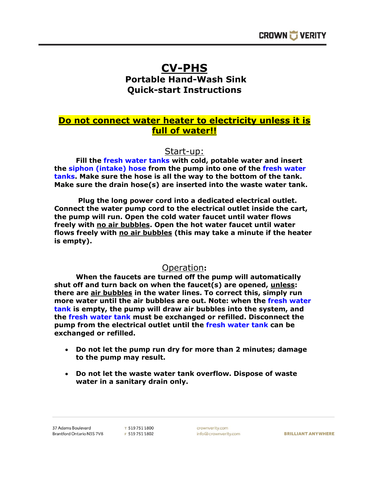## **CV-PHS**

## **Portable Hand-Wash Sink Quick-start Instructions**

## **Do not connect water heater to electricity unless it is full of water!!**

Start-up:

**Fill the fresh water tanks with cold, potable water and insert the siphon (intake) hose from the pump into one of the fresh water tanks. Make sure the hose is all the way to the bottom of the tank. Make sure the drain hose(s) are inserted into the waste water tank.**

**Plug the long power cord into a dedicated electrical outlet. Connect the water pump cord to the electrical outlet inside the cart, the pump will run. Open the cold water faucet until water flows freely with no air bubbles. Open the hot water faucet until water flows freely with no air bubbles (this may take a minute if the heater is empty).**

## Operation**:**

**When the faucets are turned off the pump will automatically shut off and turn back on when the faucet(s) are opened, unless: there are air bubbles in the water lines. To correct this, simply run more water until the air bubbles are out. Note: when the fresh water tank is empty, the pump will draw air bubbles into the system, and the fresh water tank must be exchanged or refilled. Disconnect the pump from the electrical outlet until the fresh water tank can be exchanged or refilled.**

- **Do not let the pump run dry for more than 2 minutes; damage to the pump may result.**
- **Do not let the waste water tank overflow. Dispose of waste water in a sanitary drain only.**